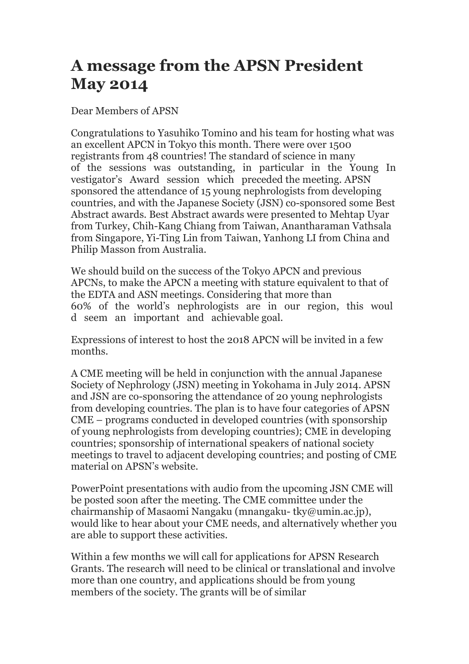## **A message from the APSN President May 2014**

Dear Members of APSN

Congratulations to Yasuhiko Tomino and his team for hosting what was an excellent APCN in Tokyo this month. There were over 1500 registrants from 48 countries! The standard of science in many of the sessions was outstanding, in particular in the Young In vestigator's Award session which preceded the meeting. APSN sponsored the attendance of 15 young nephrologists from developing countries, and with the Japanese Society (JSN) co-sponsored some Best Abstract awards. Best Abstract awards were presented to Mehtap Uyar from Turkey, Chih-Kang Chiang from Taiwan, Anantharaman Vathsala from Singapore, Yi-Ting Lin from Taiwan, Yanhong LI from China and Philip Masson from Australia.

We should build on the success of the Tokyo APCN and previous APCNs, to make the APCN a meeting with stature equivalent to that of the EDTA and ASN meetings. Considering that more than 60% of the world's nephrologists are in our region, this woul d seem an important and achievable goal.

Expressions of interest to host the 2018 APCN will be invited in a few months.

A CME meeting will be held in conjunction with the annual Japanese Society of Nephrology (JSN) meeting in Yokohama in July 2014. APSN and JSN are co-sponsoring the attendance of 20 young nephrologists from developing countries. The plan is to have four categories of APSN CME – programs conducted in developed countries (with sponsorship of young nephrologists from developing countries); CME in developing countries; sponsorship of international speakers of national society meetings to travel to adjacent developing countries; and posting of CME material on APSN's website.

PowerPoint presentations with audio from the upcoming JSN CME will be posted soon after the meeting. The CME committee under the chairmanship of Masaomi Nangaku (mnangaku- tky@umin.ac.jp), would like to hear about your CME needs, and alternatively whether you are able to support these activities.

Within a few months we will call for applications for APSN Research Grants. The research will need to be clinical or translational and involve more than one country, and applications should be from young members of the society. The grants will be of similar